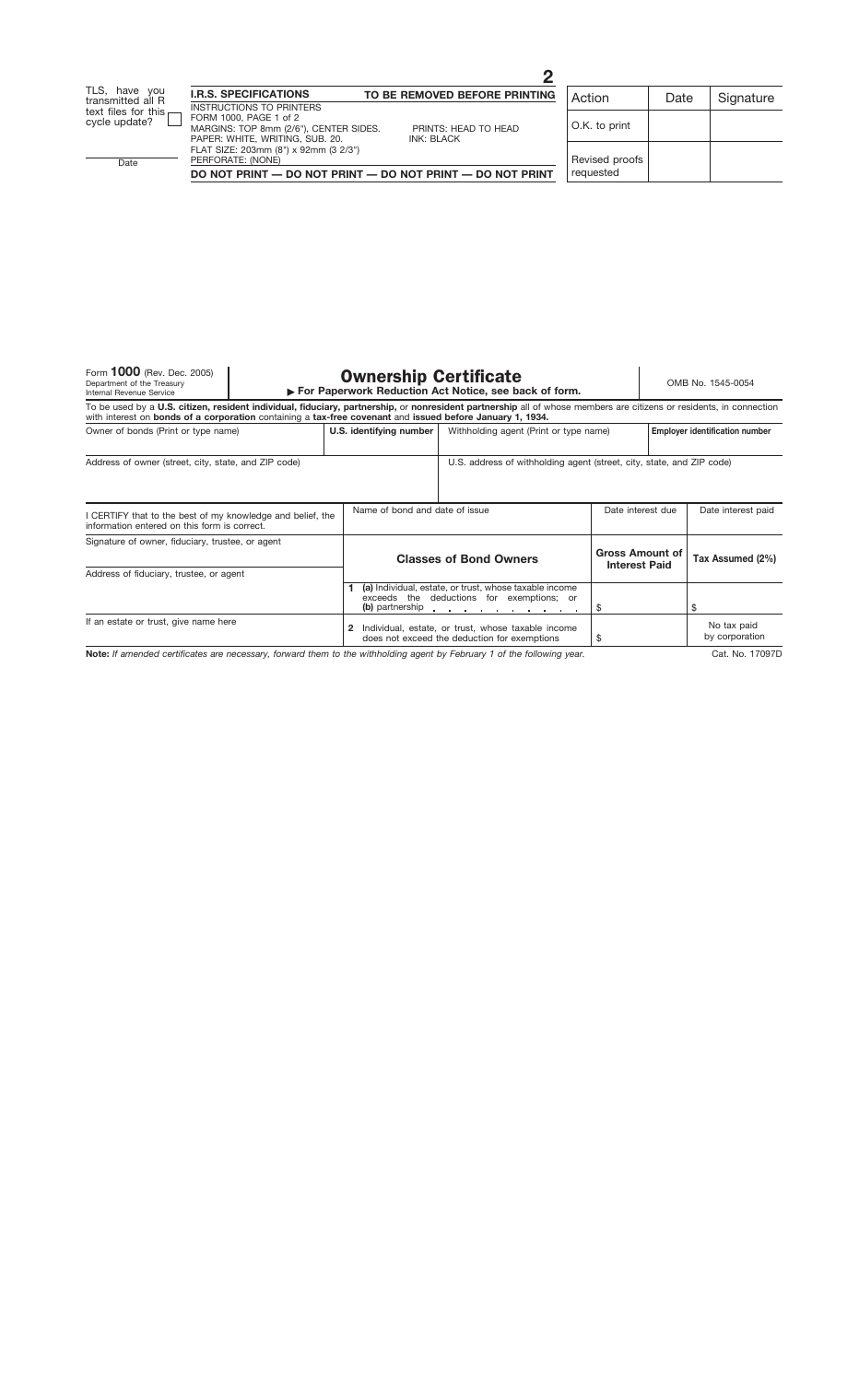Form **1000** (Rev. Dec. 2005)<br>Department of the Treasury<br>Internal Revenue Service

## Form 1000 (Rev. Dec. 2005)<br>Department of the Treasury **Combined Service in Company Service Company Properwork Reduction Act Notice, see back of form.**<br>Internal Revenue Service *For Paperwork Reduction Act Notice, see back*

| To be used by a U.S. citizen, resident individual, fiduciary, partnership, or nonresident partnership all of whose members are citizens or residents, in connection<br>with interest on bonds of a corporation containing a tax-free covenant and issued before January 1, 1934. |                         |                                                                                                                                 |  |                                                |                                       |  |
|----------------------------------------------------------------------------------------------------------------------------------------------------------------------------------------------------------------------------------------------------------------------------------|-------------------------|---------------------------------------------------------------------------------------------------------------------------------|--|------------------------------------------------|---------------------------------------|--|
| Owner of bonds (Print or type name)                                                                                                                                                                                                                                              | U.S. identifying number | Withholding agent (Print or type name)                                                                                          |  |                                                | <b>Employer identification number</b> |  |
| Address of owner (street, city, state, and ZIP code)                                                                                                                                                                                                                             |                         | U.S. address of withholding agent (street, city, state, and ZIP code)                                                           |  |                                                |                                       |  |
| I CERTIFY that to the best of my knowledge and belief, the<br>information entered on this form is correct.                                                                                                                                                                       |                         | Name of bond and date of issue                                                                                                  |  | Date interest due                              | Date interest paid                    |  |
| Signature of owner, fiduciary, trustee, or agent                                                                                                                                                                                                                                 |                         | <b>Classes of Bond Owners</b>                                                                                                   |  | <b>Gross Amount of</b><br><b>Interest Paid</b> | Tax Assumed (2%)                      |  |
| Address of fiduciary, trustee, or agent                                                                                                                                                                                                                                          |                         | (a) Individual, estate, or trust, whose taxable income<br>exceeds the deductions for exemptions; or<br>(b) partnership $\cdots$ |  |                                                |                                       |  |
| If an estate or trust, give name here                                                                                                                                                                                                                                            | 2                       | Individual, estate, or trust, whose taxable income<br>does not exceed the deduction for exemptions                              |  |                                                | No tax paid<br>by corporation         |  |

**Note:** *If amended certificates are necessary, forward them to the withholding agent by February 1 of the following year.*

Cat. No. 17097D